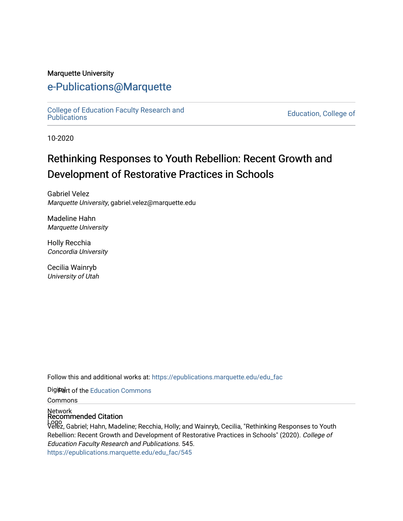#### Marquette University

#### [e-Publications@Marquette](https://epublications.marquette.edu/)

College of Education Faculty Research and<br>Publications

**Education, College of** 

10-2020

## Rethinking Responses to Youth Rebellion: Recent Growth and Development of Restorative Practices in Schools

Gabriel Velez Marquette University, gabriel.velez@marquette.edu

Madeline Hahn Marquette University

Holly Recchia Concordia University

Cecilia Wainryb University of Utah

Follow this and additional works at: [https://epublications.marquette.edu/edu\\_fac](https://epublications.marquette.edu/edu_fac?utm_source=epublications.marquette.edu%2Fedu_fac%2F545&utm_medium=PDF&utm_campaign=PDFCoverPages) 

Digiter of the [Education Commons](http://network.bepress.com/hgg/discipline/784?utm_source=epublications.marquette.edu%2Fedu_fac%2F545&utm_medium=PDF&utm_campaign=PDFCoverPages)

Commons

Network Recommended Citation

Logo Velez, Gabriel; Hahn, Madeline; Recchia, Holly; and Wainryb, Cecilia, "Rethinking Responses to Youth Rebellion: Recent Growth and Development of Restorative Practices in Schools" (2020). College of Education Faculty Research and Publications. 545. [https://epublications.marquette.edu/edu\\_fac/545](https://epublications.marquette.edu/edu_fac/545?utm_source=epublications.marquette.edu%2Fedu_fac%2F545&utm_medium=PDF&utm_campaign=PDFCoverPages)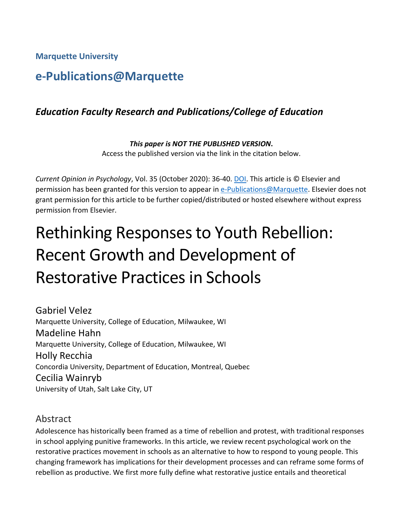**Marquette University**

## **e-Publications@Marquette**

#### *Education Faculty Research and Publications/College of Education*

*This paper is NOT THE PUBLISHED VERSION***.**  Access the published version via the link in the citation below.

*Current Opinion in Psychology*, Vol. 35 (October 2020): 36-40[. DOI.](https://doi.org/10.1016/j.copsyc.2020.02.011) This article is © Elsevier and permission has been granted for this version to appear in [e-Publications@Marquette.](http://epublications.marquette.edu/) Elsevier does not grant permission for this article to be further copied/distributed or hosted elsewhere without express permission from Elsevier.

# Rethinking Responses to Youth Rebellion: Recent Growth and Development of Restorative Practices in Schools

Gabriel Velez Marquette University, College of Education, Milwaukee, WI Madeline Hahn Marquette University, College of Education, Milwaukee, WI Holly Recchia Concordia University, Department of Education, Montreal, Quebec Cecilia Wainryb University of Utah, Salt Lake City, UT

#### Abstract

Adolescence has historically been framed as a time of rebellion and protest, with traditional responses in school applying punitive frameworks. In this article, we review recent psychological work on the restorative practices movement in schools as an alternative to how to respond to young people. This changing framework has implications for their development processes and can reframe some forms of rebellion as productive. We first more fully define what restorative justice entails and theoretical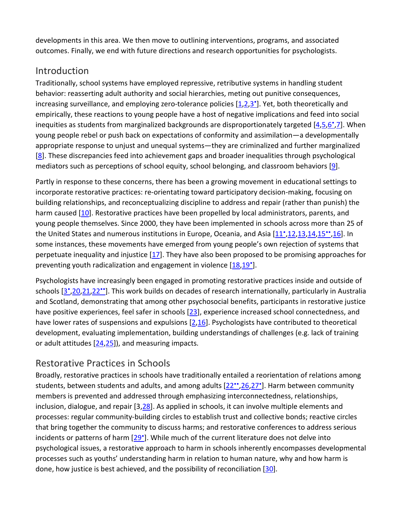developments in this area. We then move to outlining interventions, programs, and associated outcomes. Finally, we end with future directions and research opportunities for psychologists.

### **Introduction**

Traditionally, school systems have employed repressive, retributive systems in handling student behavior: reasserting adult authority and social hierarchies, meting out punitive consequences, increasing surveillance, and employing zero-tolerance policies [\[1](https://www.sciencedirect.com/science/article/pii/S2352250X20300282?via%3Dihub#bib0005)[,2,](https://www.sciencedirect.com/science/article/pii/S2352250X20300282?via%3Dihub#bib0010)3<sup>•</sup>]. Yet, both theoretically and empirically, these reactions to young people have a host of negative implications and feed into social inequities as students from marginalized backgrounds are disproportionately targeted  $[4,5,6^{\circ},7]$  $[4,5,6^{\circ},7]$  $[4,5,6^{\circ},7]$  $[4,5,6^{\circ},7]$ . When young people rebel or push back on expectations of conformity and assimilation—a developmentally appropriate response to unjust and unequal systems—they are criminalized and further marginalized [\[8\]](https://www.sciencedirect.com/science/article/pii/S2352250X20300282?via%3Dihub#bib0040). These discrepancies feed into achievement gaps and broader inequalities through psychological mediators such as perceptions of school equity, school belonging, and classroom behaviors [\[9\]](https://www.sciencedirect.com/science/article/pii/S2352250X20300282?via%3Dihub#bib0045).

Partly in response to these concerns, there has been a growing movement in educational settings to incorporate restorative practices: re-orientating toward participatory decision-making, focusing on building relationships, and reconceptualizing discipline to address and repair (rather than punish) the harm caused [\[10\]](https://www.sciencedirect.com/science/article/pii/S2352250X20300282?via%3Dihub#bib0050). Restorative practices have been propelled by local administrators, parents, and young people themselves. Since 2000, they have been implemented in schools across more than 25 of the United States and numerous institutions in Europe, Oceania, and Asia [\[11•](https://www.sciencedirect.com/science/article/pii/S2352250X20300282?via%3Dihub#bib0055)[,12](https://www.sciencedirect.com/science/article/pii/S2352250X20300282?via%3Dihub#bib0060)[,13](https://www.sciencedirect.com/science/article/pii/S2352250X20300282?via%3Dihub#bib0065)[,14](https://www.sciencedirect.com/science/article/pii/S2352250X20300282?via%3Dihub#bib0070)[,15••](https://www.sciencedirect.com/science/article/pii/S2352250X20300282?via%3Dihub#bib0075)[,16\]](https://www.sciencedirect.com/science/article/pii/S2352250X20300282?via%3Dihub#bib0080). In some instances, these movements have emerged from young people's own rejection of systems that perpetuate inequality and injustice [\[17\]](https://www.sciencedirect.com/science/article/pii/S2352250X20300282?via%3Dihub#bib0085). They have also been proposed to be promising approaches for preventing youth radicalization and engagement in violence [\[18](https://www.sciencedirect.com/science/article/pii/S2352250X20300282?via%3Dihub#bib0090),19°].

Psychologists have increasingly been engaged in promoting restorative practices inside and outside of schools [\[3•](https://www.sciencedirect.com/science/article/pii/S2352250X20300282?via%3Dihub#bib0015)[,20,](https://www.sciencedirect.com/science/article/pii/S2352250X20300282?via%3Dihub#bib0100)[21](https://www.sciencedirect.com/science/article/pii/S2352250X20300282?via%3Dihub#bib0105)[,22••\]](https://www.sciencedirect.com/science/article/pii/S2352250X20300282?via%3Dihub#bib0110). This work builds on decades of research internationally, particularly in Australia and Scotland, demonstrating that among other psychosocial benefits, participants in restorative justice have positive experiences, feel safer in schools [\[23\]](https://www.sciencedirect.com/science/article/pii/S2352250X20300282?via%3Dihub#bib0115), experience increased school connectedness, and have lower rates of suspensions and expulsions [\[2,](https://www.sciencedirect.com/science/article/pii/S2352250X20300282?via%3Dihub#bib0010)[16\]](https://www.sciencedirect.com/science/article/pii/S2352250X20300282?via%3Dihub#bib0080). Psychologists have contributed to theoretical development, evaluating implementation, building understandings of challenges (e.g. lack of training or adult attitudes  $[24,25]$  $[24,25]$ , and measuring impacts.

## Restorative Practices in Schools

Broadly, restorative practices in schools have traditionally entailed a reorientation of relations among students, between students and adults, and among adults [22<sup>\*\*</sup>[,26](https://www.sciencedirect.com/science/article/pii/S2352250X20300282?via%3Dihub#bib0130),27<sup>\*</sup>]. Harm between community members is prevented and addressed through emphasizing interconnectedness, relationships, inclusion, dialogue, and repair [3[,28\]](https://www.sciencedirect.com/science/article/pii/S2352250X20300282?via%3Dihub#bib0140). As applied in schools, it can involve multiple elements and processes: regular community-building circles to establish trust and collective bonds; reactive circles that bring together the community to discuss harms; and restorative conferences to address serious incidents or patterns of harm [29°]. While much of the current literature does not delve into psychological issues, a restorative approach to harm in schools inherently encompasses developmental processes such as youths' understanding harm in relation to human nature, why and how harm is done, how justice is best achieved, and the possibility of reconciliation [\[30\]](https://www.sciencedirect.com/science/article/pii/S2352250X20300282?via%3Dihub#bib0150).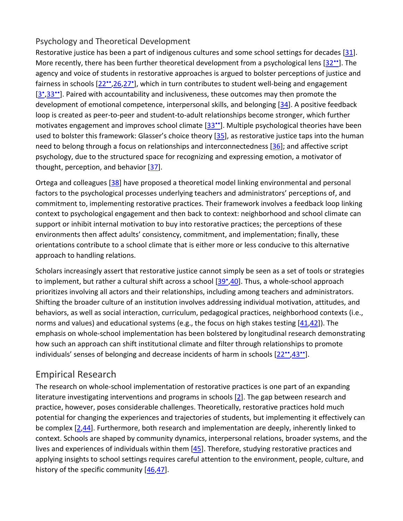#### Psychology and Theoretical Development

Restorative justice has been a part of indigenous cultures and some school settings for decades [\[31\]](https://www.sciencedirect.com/science/article/pii/S2352250X20300282?via%3Dihub#bib0155). More recently, there has been further theoretical development from a psychological lens  $[32^{\bullet\bullet}]$ . The agency and voice of students in restorative approaches is argued to bolster perceptions of justice and fairness in schools [\[22••](https://www.sciencedirect.com/science/article/pii/S2352250X20300282?via%3Dihub#bib0110)[,26,](https://www.sciencedirect.com/science/article/pii/S2352250X20300282?via%3Dihub#bib0130)[27•\]](https://www.sciencedirect.com/science/article/pii/S2352250X20300282?via%3Dihub#bib0135), which in turn contributes to student well-being and engagement [3',33"]. Paired with accountability and inclusiveness, these outcomes may then promote the development of emotional competence, interpersonal skills, and belonging [\[34\]](https://www.sciencedirect.com/science/article/pii/S2352250X20300282?via%3Dihub#bib0170). A positive feedback loop is created as peer-to-peer and student-to-adult relationships become stronger, which further motivates engagement and improves school climate [33<sup>••</sup>]. Multiple psychological theories have been used to bolster this framework: Glasser's choice theory [\[35\]](https://www.sciencedirect.com/science/article/pii/S2352250X20300282?via%3Dihub#bib0175), as restorative justice taps into the human need to belong through a focus on relationships and interconnectedness [\[36\]](https://www.sciencedirect.com/science/article/pii/S2352250X20300282?via%3Dihub#bib0180); and affective script psychology, due to the structured space for recognizing and expressing emotion, a motivator of thought, perception, and behavior  $[37]$ .

Ortega and colleagues [\[38\]](https://www.sciencedirect.com/science/article/pii/S2352250X20300282?via%3Dihub#bib0190) have proposed a theoretical model linking environmental and personal factors to the psychological processes underlying teachers and administrators' perceptions of, and commitment to, implementing restorative practices. Their framework involves a feedback loop linking context to psychological engagement and then back to context: neighborhood and school climate can support or inhibit internal motivation to buy into restorative practices; the perceptions of these environments then affect adults' consistency, commitment, and implementation; finally, these orientations contribute to a school climate that is either more or less conducive to this alternative approach to handling relations.

Scholars increasingly assert that restorative justice cannot simply be seen as a set of tools or strategies to implement, but rather a cultural shift across a school [39<sup>°</sup>, 40]. Thus, a whole-school approach prioritizes involving all actors and their relationships, including among teachers and administrators. Shifting the broader culture of an institution involves addressing individual motivation, attitudes, and behaviors, as well as social interaction, curriculum, pedagogical practices, neighborhood contexts (i.e., norms and values) and educational systems (e.g., the focus on high stakes testing [\[41](https://www.sciencedirect.com/science/article/pii/S2352250X20300282?via%3Dihub#bib0205)[,42\]](https://www.sciencedirect.com/science/article/pii/S2352250X20300282?via%3Dihub#bib0210)). The emphasis on whole-school implementation has been bolstered by longitudinal research demonstrating how such an approach can shift institutional climate and filter through relationships to promote individuals' senses of belonging and decrease incidents of harm in schools [22",43"].

#### Empirical Research

The research on whole-school implementation of restorative practices is one part of an expanding literature investigating interventions and programs in schools [\[2\]](https://www.sciencedirect.com/science/article/pii/S2352250X20300282?via%3Dihub#bib0010). The gap between research and practice, however, poses considerable challenges. Theoretically, restorative practices hold much potential for changing the experiences and trajectories of students, but implementing it effectively can be complex [\[2](https://www.sciencedirect.com/science/article/pii/S2352250X20300282?via%3Dihub#bib0010)[,44\]](https://www.sciencedirect.com/science/article/pii/S2352250X20300282?via%3Dihub#bib0220). Furthermore, both research and implementation are deeply, inherently linked to context. Schools are shaped by community dynamics, interpersonal relations, broader systems, and the lives and experiences of individuals within them [\[45\]](https://www.sciencedirect.com/science/article/pii/S2352250X20300282?via%3Dihub#bib0225). Therefore, studying restorative practices and applying insights to school settings requires careful attention to the environment, people, culture, and history of the specific community [\[46](https://www.sciencedirect.com/science/article/pii/S2352250X20300282?via%3Dihub#bib0230)[,47\]](https://www.sciencedirect.com/science/article/pii/S2352250X20300282?via%3Dihub#bib0235).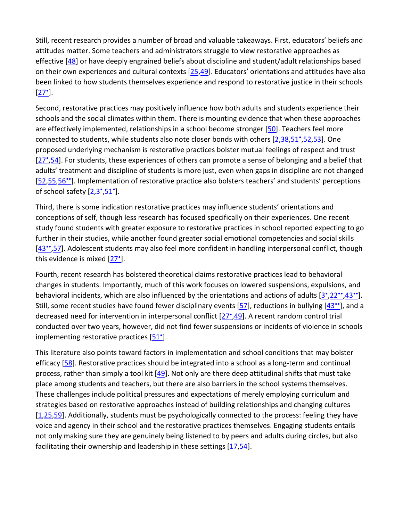Still, recent research provides a number of broad and valuable takeaways. First, educators' beliefs and attitudes matter. Some teachers and administrators struggle to view restorative approaches as effective [\[48\]](https://www.sciencedirect.com/science/article/pii/S2352250X20300282?via%3Dihub#bib0240) or have deeply engrained beliefs about discipline and student/adult relationships based on their own experiences and cultural contexts [\[25,](https://www.sciencedirect.com/science/article/pii/S2352250X20300282?via%3Dihub#bib0125)[49\]](https://www.sciencedirect.com/science/article/pii/S2352250X20300282?via%3Dihub#bib0245). Educators' orientations and attitudes have also been linked to how students themselves experience and respond to restorative justice in their schools  $[27^{\circ}].$ 

Second, restorative practices may positively influence how both adults and students experience their schools and the social climates within them. There is mounting evidence that when these approaches are effectively implemented, relationships in a school become stronger [\[50\]](https://www.sciencedirect.com/science/article/pii/S2352250X20300282?via%3Dihub#bib0250). Teachers feel more connected to students, while students also note closer bonds with others [\[2](https://www.sciencedirect.com/science/article/pii/S2352250X20300282?via%3Dihub#bib0010)[,38](https://www.sciencedirect.com/science/article/pii/S2352250X20300282?via%3Dihub#bib0190),51\*[,52](https://www.sciencedirect.com/science/article/pii/S2352250X20300282?via%3Dihub#bib0260)[,53\]](https://www.sciencedirect.com/science/article/pii/S2352250X20300282?via%3Dihub#bib0265). One proposed underlying mechanism is restorative practices bolster mutual feelings of respect and trust [27\*,[54\]](https://www.sciencedirect.com/science/article/pii/S2352250X20300282?via%3Dihub#bib0270). For students, these experiences of others can promote a sense of belonging and a belief that adults' treatment and discipline of students is more just, even when gaps in discipline are not changed [\[52,](https://www.sciencedirect.com/science/article/pii/S2352250X20300282?via%3Dihub#bib0260)[55](https://www.sciencedirect.com/science/article/pii/S2352250X20300282?via%3Dihub#bib0275),56\*]. Implementation of restorative practice also bolsters teachers' and students' perceptions of school safety [\[2](https://www.sciencedirect.com/science/article/pii/S2352250X20300282?via%3Dihub#bib0010),3',51'].

Third, there is some indication restorative practices may influence students' orientations and conceptions of self, though less research has focused specifically on their experiences. One recent study found students with greater exposure to restorative practices in school reported expecting to go further in their studies, while another found greater social emotional competencies and social skills [\[43••,](https://www.sciencedirect.com/science/article/pii/S2352250X20300282?via%3Dihub#bib0215)[57\]](https://www.sciencedirect.com/science/article/pii/S2352250X20300282?via%3Dihub#bib0285). Adolescent students may also feel more confident in handling interpersonal conflict, though this evidence is mixed [27'].

Fourth, recent research has bolstered theoretical claims restorative practices lead to behavioral changes in students. Importantly, much of this work focuses on lowered suspensions, expulsions, and behavioral incidents, which are also influenced by the orientations and actions of adults  $[3^{\bullet}, 22^{\bullet \bullet}, 43^{\bullet \bullet}]$ . Still, some recent studies have found fewer disciplinary events  $[57]$ , reductions in bullying  $[43^{\bullet\bullet}]$ , and a decreased need for intervention in interpersonal conflict [27\*[,49\]](https://www.sciencedirect.com/science/article/pii/S2352250X20300282?via%3Dihub#bib0245). A recent random control trial conducted over two years, however, did not find fewer suspensions or incidents of violence in schools implementing restorative practices [51<sup>°</sup>].

This literature also points toward factors in implementation and school conditions that may bolster efficacy [\[58\]](https://www.sciencedirect.com/science/article/pii/S2352250X20300282?via%3Dihub#bib0290). Restorative practices should be integrated into a school as a long-term and continual process, rather than simply a tool kit [\[49\]](https://www.sciencedirect.com/science/article/pii/S2352250X20300282?via%3Dihub#bib0245). Not only are there deep attitudinal shifts that must take place among students and teachers, but there are also barriers in the school systems themselves. These challenges include political pressures and expectations of merely employing curriculum and strategies based on restorative approaches instead of building relationships and changing cultures [\[1,](https://www.sciencedirect.com/science/article/pii/S2352250X20300282?via%3Dihub#bib0005)[25](https://www.sciencedirect.com/science/article/pii/S2352250X20300282?via%3Dihub#bib0125)[,59\]](https://www.sciencedirect.com/science/article/pii/S2352250X20300282?via%3Dihub#bib0295). Additionally, students must be psychologically connected to the process: feeling they have voice and agency in their school and the restorative practices themselves. Engaging students entails not only making sure they are genuinely being listened to by peers and adults during circles, but also facilitating their ownership and leadership in these settings [\[17](https://www.sciencedirect.com/science/article/pii/S2352250X20300282?via%3Dihub#bib0085)[,54\]](https://www.sciencedirect.com/science/article/pii/S2352250X20300282?via%3Dihub#bib0270).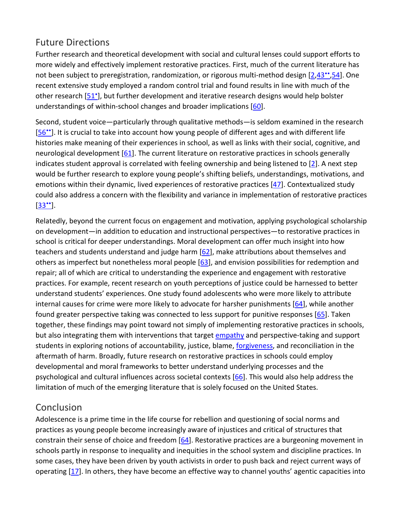#### Future Directions

Further research and theoretical development with social and cultural lenses could support efforts to more widely and effectively implement restorative practices. First, much of the current literature has not been subject to preregistration, randomization, or rigorous multi-method design [\[2](https://www.sciencedirect.com/science/article/pii/S2352250X20300282?via%3Dihub#bib0010),43<sup>\*\*</sup>[,54\]](https://www.sciencedirect.com/science/article/pii/S2352250X20300282?via%3Dihub#bib0270). One recent extensive study employed a random control trial and found results in line with much of the other research [51<sup>•</sup>], but further development and iterative research designs would help bolster understandings of within-school changes and broader implications [\[60\]](https://www.sciencedirect.com/science/article/pii/S2352250X20300282?via%3Dihub#bib0300).

Second, student voice—particularly through qualitative methods—is seldom examined in the research [56\*]. It is crucial to take into account how young people of different ages and with different life histories make meaning of their experiences in school, as well as links with their social, cognitive, and neurological development [\[61\]](https://www.sciencedirect.com/science/article/pii/S2352250X20300282?via%3Dihub#bib0305). The current literature on restorative practices in schools generally indicates student approval is correlated with feeling ownership and being listened to [\[2\]](https://www.sciencedirect.com/science/article/pii/S2352250X20300282?via%3Dihub#bib0010). A next step would be further research to explore young people's shifting beliefs, understandings, motivations, and emotions within their dynamic, lived experiences of restorative practices [\[47\]](https://www.sciencedirect.com/science/article/pii/S2352250X20300282?via%3Dihub#bib0235). Contextualized study could also address a concern with the flexibility and variance in implementation of restorative practices  $[33"$ .

Relatedly, beyond the current focus on engagement and motivation, applying psychological scholarship on development—in addition to education and instructional perspectives—to restorative practices in school is critical for deeper understandings. Moral development can offer much insight into how teachers and students understand and judge harm [\[62\]](https://www.sciencedirect.com/science/article/pii/S2352250X20300282?via%3Dihub#bib0310), make attributions about themselves and others as imperfect but nonetheless moral people [\[63\]](https://www.sciencedirect.com/science/article/pii/S2352250X20300282?via%3Dihub#bib0315), and envision possibilities for redemption and repair; all of which are critical to understanding the experience and engagement with restorative practices. For example, recent research on youth perceptions of justice could be harnessed to better understand students' experiences. One study found adolescents who were more likely to attribute internal causes for crime were more likely to advocate for harsher punishments [\[64\]](https://www.sciencedirect.com/science/article/pii/S2352250X20300282?via%3Dihub#bib0320), while another found greater perspective taking was connected to less support for punitive responses [\[65\]](https://www.sciencedirect.com/science/article/pii/S2352250X20300282?via%3Dihub#bib0325). Taken together, these findings may point toward not simply of implementing restorative practices in schools, but also integrating them with interventions that target [empathy](https://www.sciencedirect.com/topics/psychology/empathy) and perspective-taking and support students in exploring notions of accountability, justice, blame, [forgiveness,](https://www.sciencedirect.com/topics/psychology/forgiveness) and reconciliation in the aftermath of harm. Broadly, future research on restorative practices in schools could employ developmental and moral frameworks to better understand underlying processes and the psychological and cultural influences across societal contexts [\[66\]](https://www.sciencedirect.com/science/article/pii/S2352250X20300282?via%3Dihub#bib0330). This would also help address the limitation of much of the emerging literature that is solely focused on the United States.

#### **Conclusion**

Adolescence is a prime time in the life course for rebellion and questioning of social norms and practices as young people become increasingly aware of injustices and critical of structures that constrain their sense of choice and freedom [\[64\]](https://www.sciencedirect.com/science/article/pii/S2352250X20300282?via%3Dihub#bib0320). Restorative practices are a burgeoning movement in schools partly in response to inequality and inequities in the school system and discipline practices. In some cases, they have been driven by youth activists in order to push back and reject current ways of operating [\[17\]](https://www.sciencedirect.com/science/article/pii/S2352250X20300282?via%3Dihub#bib0085). In others, they have become an effective way to channel youths' agentic capacities into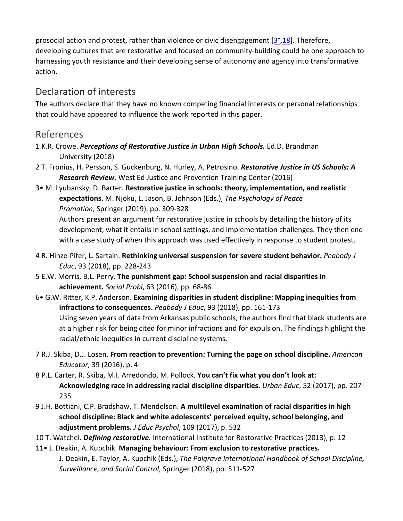prosocial action and protest, rather than violence or civic disengagement [3<sup>\*</sup>[,18\]](https://www.sciencedirect.com/science/article/pii/S2352250X20300282?via%3Dihub#bib0090). Therefore, developing cultures that are restorative and focused on community-building could be one approach to harnessing youth resistance and their developing sense of autonomy and agency into transformative action.

#### Declaration of interests

The authors declare that they have no known competing financial interests or personal relationships that could have appeared to influence the work reported in this paper.

#### References

- 1 K.R. Crowe. *Perceptions of Restorative Justice in Urban High Schools.* Ed.D. Brandman University (2018)
- 2 T. Fronius, H. Persson, S. Guckenburg, N. Hurley, A. Petrosino. *Restorative Justice in US Schools: A Research Review.* West Ed Justice and Prevention Training Center (2016)
- 3• M. Lyubansky, D. Barter. **Restorative justice in schools: theory, implementation, and realistic expectations.** M. Njoku, L. Jason, B. Johnson (Eds.), *The Psychology of Peace Promotion*, Springer (2019), pp. 309-328

Authors present an argument for restorative justice in schools by detailing the history of its development, what it entails in school settings, and implementation challenges. They then end with a case study of when this approach was used effectively in response to student protest.

- 4 R. Hinze-Pifer, L. Sartain. **Rethinking universal suspension for severe student behavior.** *Peabody J Educ*, 93 (2018), pp. 228-243
- 5 E.W. Morris, B.L. Perry. **The punishment gap: School suspension and racial disparities in achievement.** *Social Probl*, 63 (2016), pp. 68-86
- 6• G.W. Ritter, K.P. Anderson. **Examining disparities in student discipline: Mapping inequities from infractions to consequences.** *Peabody J Educ*, 93 (2018), pp. 161-173 Using seven years of data from Arkansas public schools, the authors find that black students are at a higher risk for being cited for minor infractions and for expulsion. The findings highlight the racial/ethnic inequities in current discipline systems.
- 7 R.J. Skiba, D.J. Losen. **From reaction to prevention: Turning the page on school discipline.** *American Educator*, 39 (2016), p. 4
- 8 P.L. Carter, R. Skiba, M.I. Arredondo, M. Pollock. **You can't fix what you don't look at: Acknowledging race in addressing racial discipline disparities.** *Urban Educ*, 52 (2017), pp. 207- 235
- 9 J.H. Bottiani, C.P. Bradshaw, T. Mendelson. **A multilevel examination of racial disparities in high school discipline: Black and white adolescents' perceived equity, school belonging, and adjustment problems.** *J Educ Psychol*, 109 (2017), p. 532
- 10 T. Watchel. *Defining restorative.* International Institute for Restorative Practices (2013), p. 12
- 11• J. Deakin, A. Kupchik. **Managing behaviour: From exclusion to restorative practices.**  J. Deakin, E. Taylor, A. Kupchik (Eds.), *The Palgrave International Handbook of School Discipline, Surveillance, and Social Control*, Springer (2018), pp. 511-527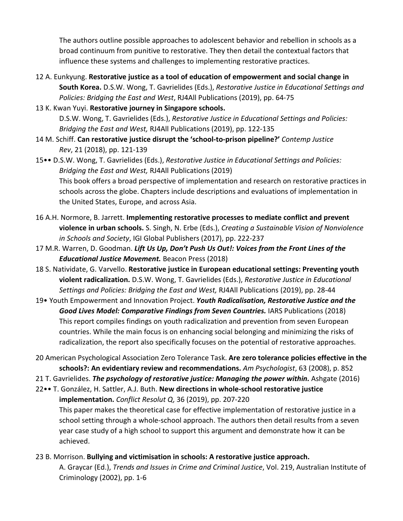The authors outline possible approaches to adolescent behavior and rebellion in schools as a broad continuum from punitive to restorative. They then detail the contextual factors that influence these systems and challenges to implementing restorative practices.

- 12 A. Eunkyung. **Restorative justice as a tool of education of empowerment and social change in South Korea.** D.S.W. Wong, T. Gavrielides (Eds.), *Restorative Justice in Educational Settings and Policies: Bridging the East and West*, RJ4All Publications (2019), pp. 64-75
- 13 K. Kwan Yuyi. **Restorative journey in Singapore schools.**  D.S.W. Wong, T. Gavrielides (Eds.), *Restorative Justice in Educational Settings and Policies: Bridging the East and West,* RJ4All Publications (2019), pp. 122-135
- 14 M. Schiff. **Can restorative justice disrupt the 'school-to-prison pipeline?'** *Contemp Justice Rev*, 21 (2018), pp. 121-139
- 15•• D.S.W. Wong, T. Gavrielides (Eds.), *Restorative Justice in Educational Settings and Policies: Bridging the East and West,* RJ4All Publications (2019) This book offers a broad perspective of implementation and research on restorative practices in schools across the globe. Chapters include descriptions and evaluations of implementation in the United States, Europe, and across Asia.
- 16 A.H. Normore, B. Jarrett. **Implementing restorative processes to mediate conflict and prevent violence in urban schools.** S. Singh, N. Erbe (Eds.), *Creating a Sustainable Vision of Nonviolence in Schools and Society*, IGI Global Publishers (2017), pp. 222-237
- 17 M.R. Warren, D. Goodman. *Lift Us Up, Don't Push Us Out!: Voices from the Front Lines of the Educational Justice Movement.* Beacon Press (2018)
- 18 S. Natividate, G. Varvello. **Restorative justice in European educational settings: Preventing youth violent radicalization.** D.S.W. Wong, T. Gavrielides (Eds.), *Restorative Justice in Educational Settings and Policies: Bridging the East and West,* RJ4All Publications (2019), pp. 28-44
- 19• Youth Empowerment and Innovation Project. *Youth Radicalisation, Restorative Justice and the*  Good Lives Model: Comparative Findings from Seven Countries. IARS Publications (2018) This report compiles findings on youth radicalization and prevention from seven European countries. While the main focus is on enhancing social belonging and minimizing the risks of radicalization, the report also specifically focuses on the potential of restorative approaches.
- 20 American Psychological Association Zero Tolerance Task. **Are zero tolerance policies effective in the schools?: An evidentiary review and recommendations.** *Am Psychologist*, 63 (2008), p. 852
- 21 T. Gavrielides. *The psychology of restorative justice: Managing the power within.* Ashgate (2016)
- 22•• T. González, H. Sattler, A.J. Buth. **New directions in whole-school restorative justice implementation.** *Conflict Resolut Q*, 36 (2019), pp. 207-220

This paper makes the theoretical case for effective implementation of restorative justice in a school setting through a whole-school approach. The authors then detail results from a seven year case study of a high school to support this argument and demonstrate how it can be achieved.

23 B. Morrison. **Bullying and victimisation in schools: A restorative justice approach.**  A. Graycar (Ed.), *Trends and Issues in Crime and Criminal Justice*, Vol. 219, Australian Institute of Criminology (2002), pp. 1-6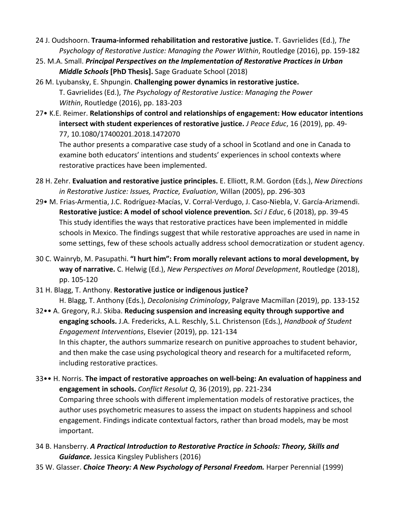- 24 J. Oudshoorn. **Trauma-informed rehabilitation and restorative justice.** T. Gavrielides (Ed.), *The Psychology of Restorative Justice: Managing the Power Within*, Routledge (2016), pp. 159-182
- 25. M.A. Small. *Principal Perspectives on the Implementation of Restorative Practices in Urban Middle Schools* **[PhD Thesis].** Sage Graduate School (2018)

26 M. Lyubansky, E. Shpungin. **Challenging power dynamics in restorative justice.**  T. Gavrielides (Ed.), *The Psychology of Restorative Justice: Managing the Power Within*, Routledge (2016), pp. 183-203

27• K.E. Reimer. **Relationships of control and relationships of engagement: How educator intentions intersect with student experiences of restorative justice.** *J Peace Educ*, 16 (2019), pp. 49- 77, 10.1080/17400201.2018.1472070

The author presents a comparative case study of a school in Scotland and one in Canada to examine both educators' intentions and students' experiences in school contexts where restorative practices have been implemented.

- 28 H. Zehr. **Evaluation and restorative justice principles.** E. Elliott, R.M. Gordon (Eds.), *New Directions in Restorative Justice: Issues, Practice, Evaluation*, Willan (2005), pp. 296-303
- 29• M. Frias-Armentia, J.C. Rodríguez-Macías, V. Corral-Verdugo, J. Caso-Niebla, V. García-Arizmendi. **Restorative justice: A model of school violence prevention.** *Sci J Educ*, 6 (2018), pp. 39-45 This study identifies the ways that restorative practices have been implemented in middle schools in Mexico. The findings suggest that while restorative approaches are used in name in some settings, few of these schools actually address school democratization or student agency.
- 30 C. Wainryb, M. Pasupathi. **"I hurt him": From morally relevant actions to moral development, by way of narrative.** C. Helwig (Ed.), *New Perspectives on Moral Development*, Routledge (2018), pp. 105-120

31 H. Blagg, T. Anthony. **Restorative justice or indigenous justice?** H. Blagg, T. Anthony (Eds.), *Decolonising Criminology*, Palgrave Macmillan (2019), pp. 133-152

32•• A. Gregory, R.J. Skiba. **Reducing suspension and increasing equity through supportive and engaging schools.** J.A. Fredericks, A.L. Reschly, S.L. Christenson (Eds.), *Handbook of Student Engagement Interventions*, Elsevier (2019), pp. 121-134 In this chapter, the authors summarize research on punitive approaches to student behavior, and then make the case using psychological theory and research for a multifaceted reform, including restorative practices.

- 33•• H. Norris. **The impact of restorative approaches on well-being: An evaluation of happiness and engagement in schools.** *Conflict Resolut Q*, 36 (2019), pp. 221-234 Comparing three schools with different implementation models of restorative practices, the author uses psychometric measures to assess the impact on students happiness and school engagement. Findings indicate contextual factors, rather than broad models, may be most important.
- 34 B. Hansberry. *A Practical Introduction to Restorative Practice in Schools: Theory, Skills and Guidance.* Jessica Kingsley Publishers (2016)
- 35 W. Glasser. *Choice Theory: A New Psychology of Personal Freedom.* Harper Perennial (1999)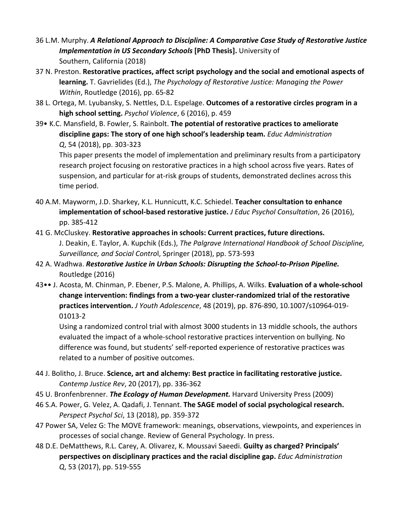- 36 L.M. Murphy. *A Relational Approach to Discipline: A Comparative Case Study of Restorative Justice Implementation in US Secondary Schools* **[PhD Thesis].** University of Southern, California (2018)
- 37 N. Preston. **Restorative practices, affect script psychology and the social and emotional aspects of learning.** T. Gavrielides (Ed.), *The Psychology of Restorative Justice: Managing the Power Within*, Routledge (2016), pp. 65-82
- 38 L. Ortega, M. Lyubansky, S. Nettles, D.L. Espelage. **Outcomes of a restorative circles program in a high school setting.** *Psychol Violence*, 6 (2016), p. 459
- 39• K.C. Mansfield, B. Fowler, S. Rainbolt. **The potential of restorative practices to ameliorate discipline gaps: The story of one high school's leadership team.** *Educ Administration Q*, 54 (2018), pp. 303-323

This paper presents the model of implementation and preliminary results from a participatory research project focusing on restorative practices in a high school across five years. Rates of suspension, and particular for at-risk groups of students, demonstrated declines across this time period.

- 40 A.M. Mayworm, J.D. Sharkey, K.L. Hunnicutt, K.C. Schiedel. **Teacher consultation to enhance implementation of school-based restorative justice.** *J Educ Psychol Consultation*, 26 (2016), pp. 385-412
- 41 G. McCluskey. **Restorative approaches in schools: Current practices, future directions.**  J. Deakin, E. Taylor, A. Kupchik (Eds.), *The Palgrave International Handbook of School Discipline, Surveillance, and Social Contro*l, Springer (2018), pp. 573-593
- 42 A. Wadhwa. *Restorative Justice in Urban Schools: Disrupting the School-to-Prison Pipeline.*  Routledge (2016)
- 43•• J. Acosta, M. Chinman, P. Ebener, P.S. Malone, A. Phillips, A. Wilks. **Evaluation of a whole-school change intervention: findings from a two-year cluster-randomized trial of the restorative practices intervention.** *J Youth Adolescence*, 48 (2019), pp. 876-890, 10.1007/s10964-019- 01013-2

Using a randomized control trial with almost 3000 students in 13 middle schools, the authors evaluated the impact of a whole-school restorative practices intervention on bullying. No difference was found, but students' self-reported experience of restorative practices was related to a number of positive outcomes.

- 44 J. Bolitho, J. Bruce. **Science, art and alchemy: Best practice in facilitating restorative justice.**  *Contemp Justice Rev*, 20 (2017), pp. 336-362
- 45 U. Bronfenbrenner. *The Ecology of Human Development.* Harvard University Press (2009)
- 46 S.A. Power, G. Velez, A. Qadafi, J. Tennant. **The SAGE model of social psychological research.**  *Perspect Psychol Sci*, 13 (2018), pp. 359-372
- 47 Power SA, Velez G: The MOVE framework: meanings, observations, viewpoints, and experiences in processes of social change. Review of General Psychology. In press.
- 48 D.E. DeMatthews, R.L. Carey, A. Olivarez, K. Moussavi Saeedi. **Guilty as charged? Principals' perspectives on disciplinary practices and the racial discipline gap.** *Educ Administration Q*, 53 (2017), pp. 519-555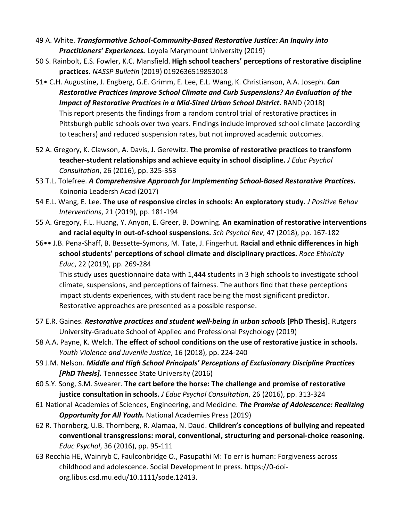- 49 A. White. *Transformative School-Community-Based Restorative Justice: An Inquiry into Practitioners' Experiences.* Loyola Marymount University (2019)
- 50 S. Rainbolt, E.S. Fowler, K.C. Mansfield. **High school teachers' perceptions of restorative discipline practices.** *NASSP Bulletin* (2019) 0192636519853018
- 51• C.H. Augustine, J. Engberg, G.E. Grimm, E. Lee, E.L. Wang, K. Christianson, A.A. Joseph. *Can Restorative Practices Improve School Climate and Curb Suspensions? An Evaluation of the Impact of Restorative Practices in a Mid-Sized Urban School District.* RAND (2018) This report presents the findings from a random control trial of restorative practices in Pittsburgh public schools over two years. Findings include improved school climate (according to teachers) and reduced suspension rates, but not improved academic outcomes.
- 52 A. Gregory, K. Clawson, A. Davis, J. Gerewitz. **The promise of restorative practices to transform teacher-student relationships and achieve equity in school discipline.** *J Educ Psychol Consultation*, 26 (2016), pp. 325-353
- 53 T.L. Tolefree. *A Comprehensive Approach for Implementing School-Based Restorative Practices.*  Koinonia Leadersh Acad (2017)
- 54 E.L. Wang, E. Lee. **The use of responsive circles in schools: An exploratory study.** *J Positive Behav Interventions*, 21 (2019), pp. 181-194
- 55 A. Gregory, F.L. Huang, Y. Anyon, E. Greer, B. Downing. **An examination of restorative interventions and racial equity in out-of-school suspensions.** *Sch Psychol Rev*, 47 (2018), pp. 167-182
- 56•• J.B. Pena-Shaff, B. Bessette-Symons, M. Tate, J. Fingerhut. **Racial and ethnic differences in high school students' perceptions of school climate and disciplinary practices.** *Race Ethnicity Educ*, 22 (2019), pp. 269-284

This study uses questionnaire data with 1,444 students in 3 high schools to investigate school climate, suspensions, and perceptions of fairness. The authors find that these perceptions impact students experiences, with student race being the most significant predictor. Restorative approaches are presented as a possible response.

- 57 E.R. Gaines. *Restorative practices and student well-being in urban schools* **[PhD Thesis].** Rutgers University-Graduate School of Applied and Professional Psychology (2019)
- 58 A.A. Payne, K. Welch. **The effect of school conditions on the use of restorative justice in schools.**  *Youth Violence and Juvenile Justice*, 16 (2018), pp. 224-240
- 59 J.M. Nelson. *Middle and High School Principals' Perceptions of Exclusionary Discipline Practices [PhD Thesis].* Tennessee State University (2016)
- 60 S.Y. Song, S.M. Swearer. **The cart before the horse: The challenge and promise of restorative justice consultation in schools.** *J Educ Psychol Consultation*, 26 (2016), pp. 313-324
- 61 National Academies of Sciences, Engineering, and Medicine. *The Promise of Adolescence: Realizing Opportunity for All Youth.* National Academies Press (2019)
- 62 R. Thornberg, U.B. Thornberg, R. Alamaa, N. Daud. **Children's conceptions of bullying and repeated conventional transgressions: moral, conventional, structuring and personal-choice reasoning.**  *Educ Psychol*, 36 (2016), pp. 95-111
- 63 Recchia HE, Wainryb C, Faulconbridge O., Pasupathi M: To err is human: Forgiveness across childhood and adolescence. Social Development In press. https://0-doiorg.libus.csd.mu.edu/10.1111/sode.12413.